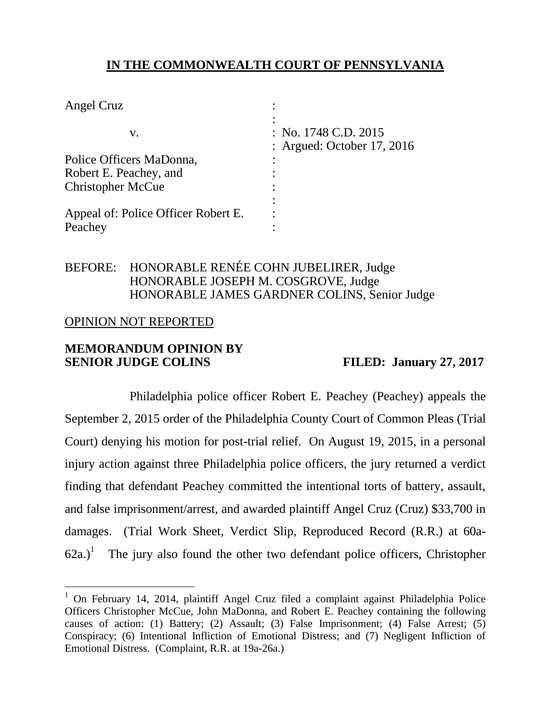# **IN THE COMMONWEALTH COURT OF PENNSYLVANIA**

| : No. $1748$ C.D. $2015$<br>: Argued: October 17, 2016 |
|--------------------------------------------------------|
|                                                        |
|                                                        |
|                                                        |
|                                                        |
|                                                        |

### BEFORE: HONORABLE RENÉE COHN JUBELIRER, Judge HONORABLE JOSEPH M. COSGROVE, Judge HONORABLE JAMES GARDNER COLINS, Senior Judge

### OPINION NOT REPORTED

 $\overline{a}$ 

### **MEMORANDUM OPINION BY SENIOR JUDGE COLINS** FILED: January 27, 2017

Philadelphia police officer Robert E. Peachey (Peachey) appeals the September 2, 2015 order of the Philadelphia County Court of Common Pleas (Trial Court) denying his motion for post-trial relief. On August 19, 2015, in a personal injury action against three Philadelphia police officers, the jury returned a verdict finding that defendant Peachey committed the intentional torts of battery, assault, and false imprisonment/arrest, and awarded plaintiff Angel Cruz (Cruz) \$33,700 in damages. (Trial Work Sheet, Verdict Slip, Reproduced Record (R.R.) at 60a- $62a$ .)<sup>1</sup> The jury also found the other two defendant police officers, Christopher

 $1$  On February 14, 2014, plaintiff Angel Cruz filed a complaint against Philadelphia Police Officers Christopher McCue, John MaDonna, and Robert E. Peachey containing the following causes of action: (1) Battery; (2) Assault; (3) False Imprisonment; (4) False Arrest; (5) Conspiracy; (6) Intentional Infliction of Emotional Distress; and (7) Negligent Infliction of Emotional Distress. (Complaint, R.R. at 19a-26a.)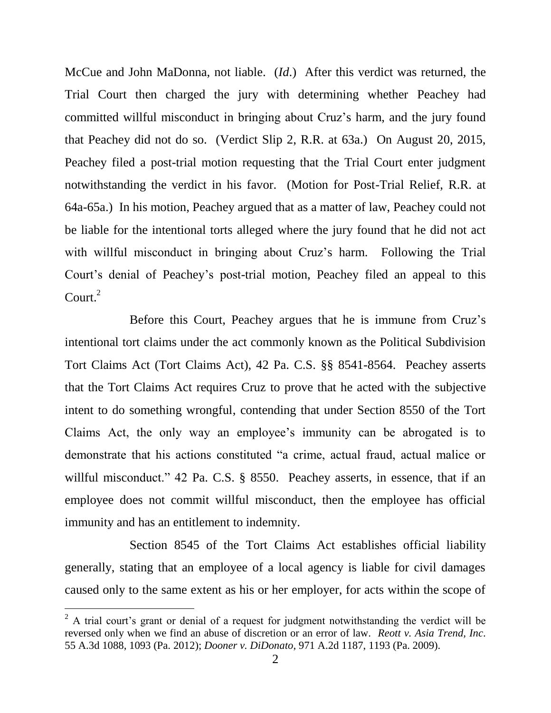McCue and John MaDonna, not liable. (*Id*.) After this verdict was returned, the Trial Court then charged the jury with determining whether Peachey had committed willful misconduct in bringing about Cruz's harm, and the jury found that Peachey did not do so. (Verdict Slip 2, R.R. at 63a.) On August 20, 2015, Peachey filed a post-trial motion requesting that the Trial Court enter judgment notwithstanding the verdict in his favor. (Motion for Post-Trial Relief, R.R. at 64a-65a.) In his motion, Peachey argued that as a matter of law, Peachey could not be liable for the intentional torts alleged where the jury found that he did not act with willful misconduct in bringing about Cruz's harm. Following the Trial Court's denial of Peachey's post-trial motion, Peachey filed an appeal to this Court. $^{2}$ 

Before this Court, Peachey argues that he is immune from Cruz's intentional tort claims under the act commonly known as the Political Subdivision Tort Claims Act (Tort Claims Act), 42 Pa. C.S. §§ 8541-8564. Peachey asserts that the Tort Claims Act requires Cruz to prove that he acted with the subjective intent to do something wrongful, contending that under Section 8550 of the Tort Claims Act, the only way an employee's immunity can be abrogated is to demonstrate that his actions constituted "a crime, actual fraud, actual malice or willful misconduct." 42 Pa. C.S. § 8550. Peachey asserts, in essence, that if an employee does not commit willful misconduct, then the employee has official immunity and has an entitlement to indemnity.

Section 8545 of the Tort Claims Act establishes official liability generally, stating that an employee of a local agency is liable for civil damages caused only to the same extent as his or her employer, for acts within the scope of

 $\overline{a}$ 

 $^{2}$  A trial court's grant or denial of a request for judgment notwithstanding the verdict will be reversed only when we find an abuse of discretion or an error of law. *Reott v. Asia Trend, Inc*. 55 A.3d 1088, 1093 (Pa. 2012); *Dooner v. DiDonato*, 971 A.2d 1187, 1193 (Pa. 2009).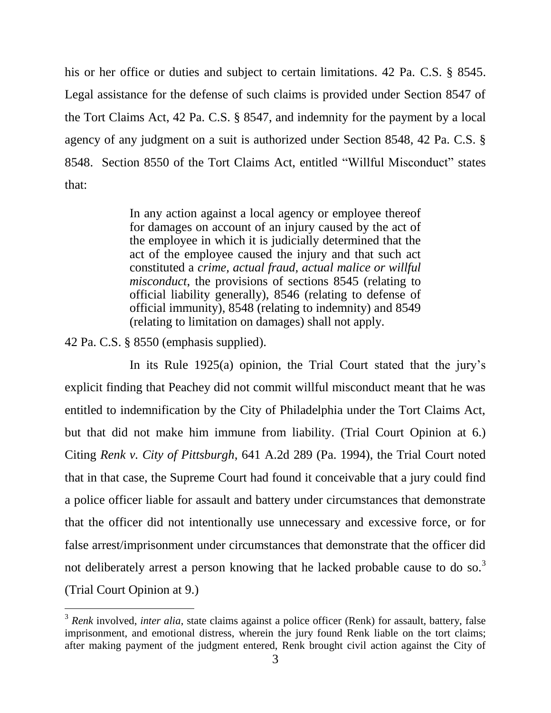his or her office or duties and subject to certain limitations. 42 Pa. C.S. § 8545. Legal assistance for the defense of such claims is provided under Section 8547 of the Tort Claims Act, 42 Pa. C.S. § 8547, and indemnity for the payment by a local agency of any judgment on a suit is authorized under Section 8548, 42 Pa. C.S. § 8548. Section 8550 of the Tort Claims Act, entitled "Willful Misconduct" states that:

> In any action against a local agency or employee thereof for damages on account of an injury caused by the act of the employee in which it is judicially determined that the act of the employee caused the injury and that such act constituted a *crime, actual fraud, actual malice or willful misconduct*, the provisions of sections 8545 (relating to official liability generally), 8546 (relating to defense of official immunity), 8548 (relating to indemnity) and 8549 (relating to limitation on damages) shall not apply.

42 Pa. C.S. § 8550 (emphasis supplied).

In its Rule 1925(a) opinion, the Trial Court stated that the jury's explicit finding that Peachey did not commit willful misconduct meant that he was entitled to indemnification by the City of Philadelphia under the Tort Claims Act, but that did not make him immune from liability. (Trial Court Opinion at 6.) Citing *Renk v. City of Pittsburgh*, 641 A.2d 289 (Pa. 1994), the Trial Court noted that in that case, the Supreme Court had found it conceivable that a jury could find a police officer liable for assault and battery under circumstances that demonstrate that the officer did not intentionally use unnecessary and excessive force, or for false arrest/imprisonment under circumstances that demonstrate that the officer did not deliberately arrest a person knowing that he lacked probable cause to do so.<sup>3</sup> (Trial Court Opinion at 9.)

<sup>&</sup>lt;sup>3</sup> Renk involved, *inter alia*, state claims against a police officer (Renk) for assault, battery, false imprisonment, and emotional distress, wherein the jury found Renk liable on the tort claims; after making payment of the judgment entered, Renk brought civil action against the City of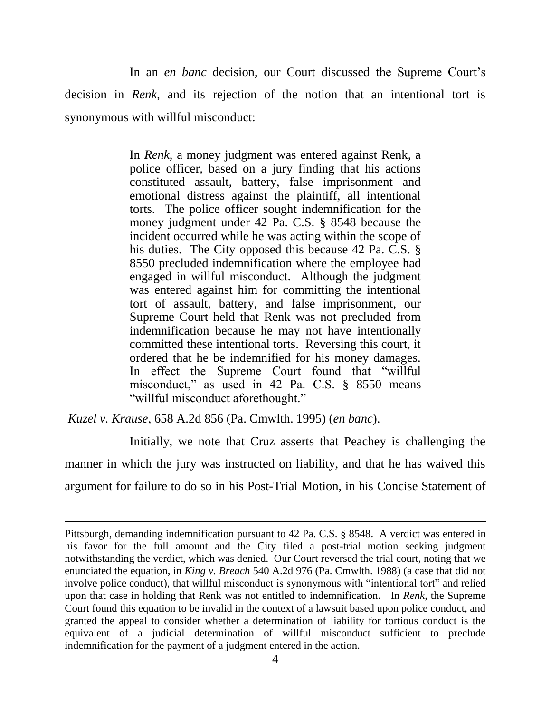In an *en banc* decision, our Court discussed the Supreme Court's decision in *Renk*, and its rejection of the notion that an intentional tort is synonymous with willful misconduct:

> In *Renk*, a money judgment was entered against Renk, a police officer, based on a jury finding that his actions constituted assault, battery, false imprisonment and emotional distress against the plaintiff, all intentional torts. The police officer sought indemnification for the money judgment under 42 Pa. C.S. § 8548 because the incident occurred while he was acting within the scope of his duties. The City opposed this because 42 Pa. C.S. § 8550 precluded indemnification where the employee had engaged in willful misconduct. Although the judgment was entered against him for committing the intentional tort of assault, battery, and false imprisonment, our Supreme Court held that Renk was not precluded from indemnification because he may not have intentionally committed these intentional torts. Reversing this court, it ordered that he be indemnified for his money damages. In effect the Supreme Court found that "willful misconduct," as used in 42 Pa. C.S. § 8550 means "willful misconduct aforethought."

*Kuzel v. Krause*, 658 A.2d 856 (Pa. Cmwlth. 1995) (*en banc*).

 $\overline{a}$ 

 Initially, we note that Cruz asserts that Peachey is challenging the manner in which the jury was instructed on liability, and that he has waived this argument for failure to do so in his Post-Trial Motion, in his Concise Statement of

Pittsburgh, demanding indemnification pursuant to 42 Pa. C.S. § 8548. A verdict was entered in his favor for the full amount and the City filed a post-trial motion seeking judgment notwithstanding the verdict, which was denied. Our Court reversed the trial court, noting that we enunciated the equation, in *King v. Breach* 540 A.2d 976 (Pa. Cmwlth. 1988) (a case that did not involve police conduct), that willful misconduct is synonymous with "intentional tort" and relied upon that case in holding that Renk was not entitled to indemnification. In *Renk*, the Supreme Court found this equation to be invalid in the context of a lawsuit based upon police conduct, and granted the appeal to consider whether a determination of liability for tortious conduct is the equivalent of a judicial determination of willful misconduct sufficient to preclude indemnification for the payment of a judgment entered in the action.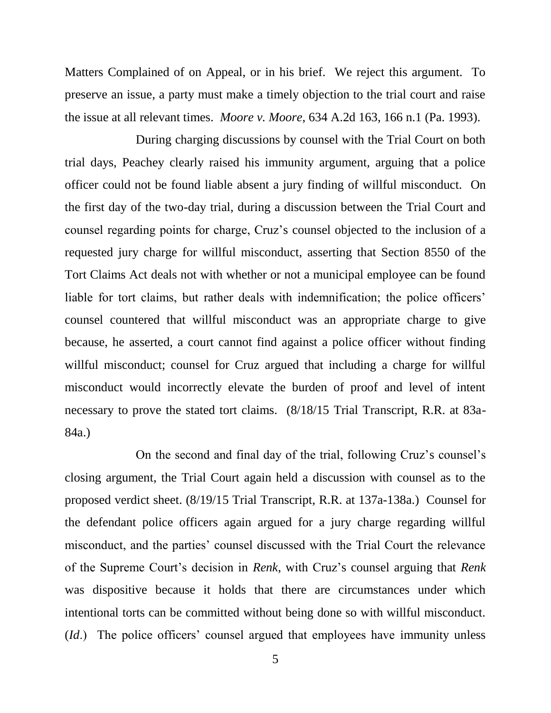Matters Complained of on Appeal, or in his brief. We reject this argument. To preserve an issue, a party must make a timely objection to the trial court and raise the issue at all relevant times. *Moore v. Moore*, 634 A.2d 163, 166 n.1 (Pa. 1993).

 During charging discussions by counsel with the Trial Court on both trial days, Peachey clearly raised his immunity argument, arguing that a police officer could not be found liable absent a jury finding of willful misconduct. On the first day of the two-day trial, during a discussion between the Trial Court and counsel regarding points for charge, Cruz's counsel objected to the inclusion of a requested jury charge for willful misconduct, asserting that Section 8550 of the Tort Claims Act deals not with whether or not a municipal employee can be found liable for tort claims, but rather deals with indemnification; the police officers' counsel countered that willful misconduct was an appropriate charge to give because, he asserted, a court cannot find against a police officer without finding willful misconduct; counsel for Cruz argued that including a charge for willful misconduct would incorrectly elevate the burden of proof and level of intent necessary to prove the stated tort claims. (8/18/15 Trial Transcript, R.R. at 83a-84a.)

 On the second and final day of the trial, following Cruz's counsel's closing argument, the Trial Court again held a discussion with counsel as to the proposed verdict sheet. (8/19/15 Trial Transcript, R.R. at 137a-138a.) Counsel for the defendant police officers again argued for a jury charge regarding willful misconduct, and the parties' counsel discussed with the Trial Court the relevance of the Supreme Court's decision in *Renk*, with Cruz's counsel arguing that *Renk* was dispositive because it holds that there are circumstances under which intentional torts can be committed without being done so with willful misconduct. (*Id*.) The police officers' counsel argued that employees have immunity unless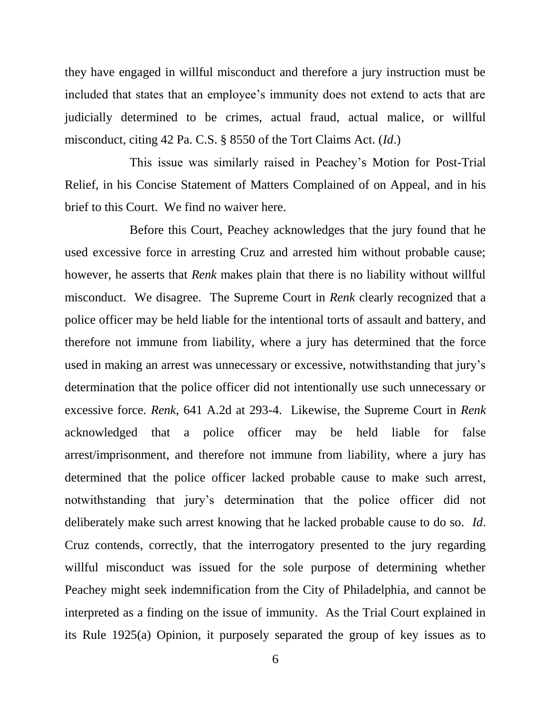they have engaged in willful misconduct and therefore a jury instruction must be included that states that an employee's immunity does not extend to acts that are judicially determined to be crimes, actual fraud, actual malice, or willful misconduct, citing 42 Pa. C.S. § 8550 of the Tort Claims Act. (*Id*.)

 This issue was similarly raised in Peachey's Motion for Post-Trial Relief, in his Concise Statement of Matters Complained of on Appeal, and in his brief to this Court. We find no waiver here.

Before this Court, Peachey acknowledges that the jury found that he used excessive force in arresting Cruz and arrested him without probable cause; however, he asserts that *Renk* makes plain that there is no liability without willful misconduct. We disagree. The Supreme Court in *Renk* clearly recognized that a police officer may be held liable for the intentional torts of assault and battery, and therefore not immune from liability, where a jury has determined that the force used in making an arrest was unnecessary or excessive, notwithstanding that jury's determination that the police officer did not intentionally use such unnecessary or excessive force. *Renk*, 641 A.2d at 293-4. Likewise, the Supreme Court in *Renk*  acknowledged that a police officer may be held liable for false arrest/imprisonment, and therefore not immune from liability, where a jury has determined that the police officer lacked probable cause to make such arrest, notwithstanding that jury's determination that the police officer did not deliberately make such arrest knowing that he lacked probable cause to do so. *Id*. Cruz contends, correctly, that the interrogatory presented to the jury regarding willful misconduct was issued for the sole purpose of determining whether Peachey might seek indemnification from the City of Philadelphia, and cannot be interpreted as a finding on the issue of immunity. As the Trial Court explained in its Rule 1925(a) Opinion, it purposely separated the group of key issues as to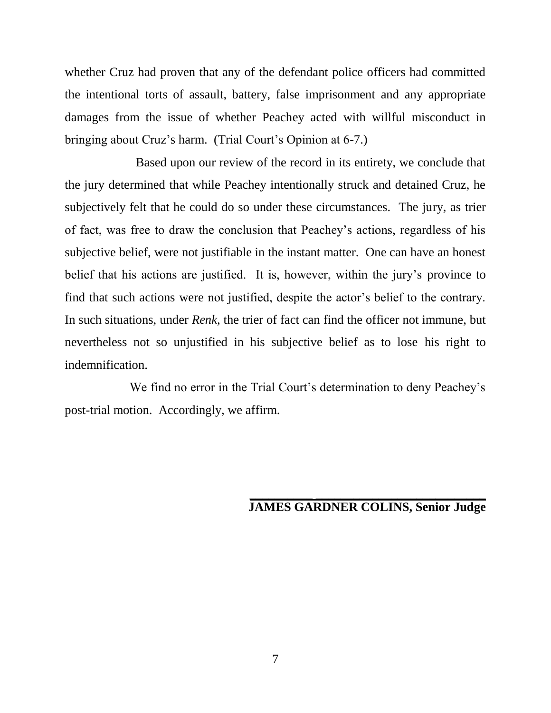whether Cruz had proven that any of the defendant police officers had committed the intentional torts of assault, battery, false imprisonment and any appropriate damages from the issue of whether Peachey acted with willful misconduct in bringing about Cruz's harm. (Trial Court's Opinion at 6-7.)

 Based upon our review of the record in its entirety, we conclude that the jury determined that while Peachey intentionally struck and detained Cruz, he subjectively felt that he could do so under these circumstances. The jury, as trier of fact, was free to draw the conclusion that Peachey's actions, regardless of his subjective belief, were not justifiable in the instant matter. One can have an honest belief that his actions are justified. It is, however, within the jury's province to find that such actions were not justified, despite the actor's belief to the contrary. In such situations, under *Renk*, the trier of fact can find the officer not immune, but nevertheless not so unjustified in his subjective belief as to lose his right to indemnification.

We find no error in the Trial Court's determination to deny Peachey's post-trial motion. Accordingly, we affirm.

#### **\_\_\_\_\_\_\_\_\_\_ \_\_\_\_\_\_\_\_\_\_\_\_\_\_\_\_\_\_\_\_\_\_\_\_\_\_\_ JAMES GARDNER COLINS, Senior Judge**